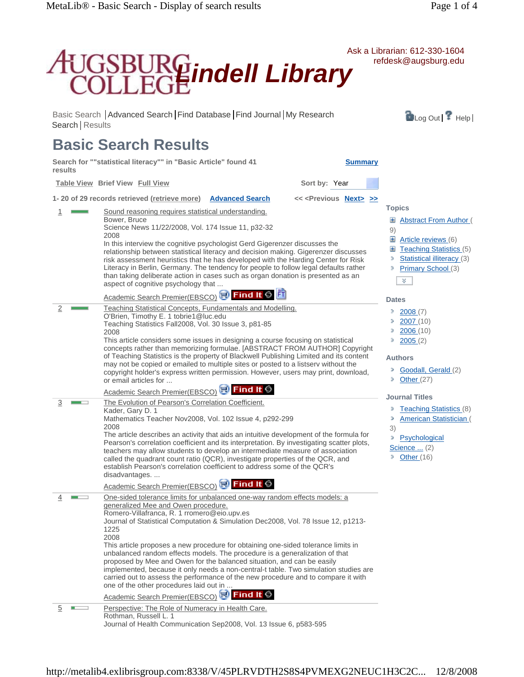

Journal of Health Communication Sep2008, Vol. 13 Issue 6, p583-595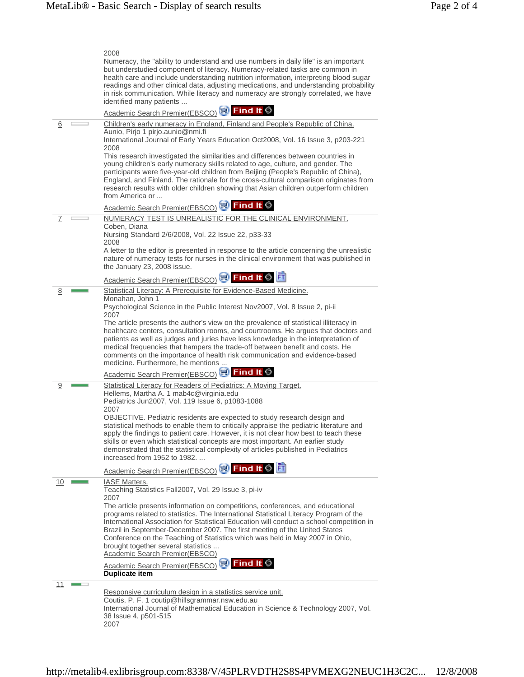|    | 2008                                                                                                                                                                                                                                                                                                                                                                                                                                                                                                                                                                                                                                                                                                                             |
|----|----------------------------------------------------------------------------------------------------------------------------------------------------------------------------------------------------------------------------------------------------------------------------------------------------------------------------------------------------------------------------------------------------------------------------------------------------------------------------------------------------------------------------------------------------------------------------------------------------------------------------------------------------------------------------------------------------------------------------------|
|    | Numeracy, the "ability to understand and use numbers in daily life" is an important<br>but understudied component of literacy. Numeracy-related tasks are common in<br>health care and include understanding nutrition information, interpreting blood sugar<br>readings and other clinical data, adjusting medications, and understanding probability<br>in risk communication. While literacy and numeracy are strongly correlated, we have<br>identified many patients                                                                                                                                                                                                                                                        |
|    | Academic Search Premier(EBSCO) <sup>(3)</sup> Find It S                                                                                                                                                                                                                                                                                                                                                                                                                                                                                                                                                                                                                                                                          |
| 6  | Children's early numeracy in England, Finland and People's Republic of China.<br>Aunio, Pirjo 1 pirjo.aunio@nmi.fi<br>International Journal of Early Years Education Oct2008, Vol. 16 Issue 3, p203-221<br>2008<br>This research investigated the similarities and differences between countries in<br>young children's early numeracy skills related to age, culture, and gender. The<br>participants were five-year-old children from Beijing (People's Republic of China),<br>England, and Finland. The rationale for the cross-cultural comparison originates from<br>research results with older children showing that Asian children outperform children<br>from America or<br>Academic Search Premier(EBSCO) SO Find It S |
| 7  | NUMERACY TEST IS UNREALISTIC FOR THE CLINICAL ENVIRONMENT.                                                                                                                                                                                                                                                                                                                                                                                                                                                                                                                                                                                                                                                                       |
|    | Coben, Diana<br>Nursing Standard 2/6/2008, Vol. 22 Issue 22, p33-33<br>2008<br>A letter to the editor is presented in response to the article concerning the unrealistic<br>nature of numeracy tests for nurses in the clinical environment that was published in<br>the January 23, 2008 issue.                                                                                                                                                                                                                                                                                                                                                                                                                                 |
|    | Academic Search Premier(EBSCO) <b>Princil It O</b>                                                                                                                                                                                                                                                                                                                                                                                                                                                                                                                                                                                                                                                                               |
| 8  | Statistical Literacy: A Prerequisite for Evidence-Based Medicine.<br>Monahan, John 1<br>Psychological Science in the Public Interest Nov2007, Vol. 8 Issue 2, pi-ii<br>2007<br>The article presents the author's view on the prevalence of statistical illiteracy in<br>healthcare centers, consultation rooms, and courtrooms. He argues that doctors and<br>patients as well as judges and juries have less knowledge in the interpretation of<br>medical frequencies that hampers the trade-off between benefit and costs. He<br>comments on the importance of health risk communication and evidence-based<br>medicine. Furthermore, he mentions                                                                             |
|    | Academic Search Premier(EBSCO) <b>Princil It S</b>                                                                                                                                                                                                                                                                                                                                                                                                                                                                                                                                                                                                                                                                               |
| 9  | Statistical Literacy for Readers of Pediatrics: A Moving Target.<br>Hellems, Martha A. 1 mab4c@virginia.edu<br>Pediatrics Jun2007, Vol. 119 Issue 6, p1083-1088<br>2007<br>OBJECTIVE. Pediatric residents are expected to study research design and<br>statistical methods to enable them to critically appraise the pediatric literature and<br>apply the findings to patient care. However, it is not clear how best to teach these                                                                                                                                                                                                                                                                                            |
|    | skills or even which statistical concepts are most important. An earlier study<br>demonstrated that the statistical complexity of articles published in Pediatrics<br>increased from 1952 to 1982.                                                                                                                                                                                                                                                                                                                                                                                                                                                                                                                               |
|    | Academic Search Premier(EBSCO) <b>No Find It O</b> FI<br><b>IASE Matters.</b>                                                                                                                                                                                                                                                                                                                                                                                                                                                                                                                                                                                                                                                    |
| 10 | Teaching Statistics Fall2007, Vol. 29 Issue 3, pi-iv<br>2007<br>The article presents information on competitions, conferences, and educational<br>programs related to statistics. The International Statistical Literacy Program of the<br>International Association for Statistical Education will conduct a school competition in<br>Brazil in September-December 2007. The first meeting of the United States<br>Conference on the Teaching of Statistics which was held in May 2007 in Ohio,<br>brought together several statistics<br><b>Academic Search Premier(EBSCO)</b>                                                                                                                                                 |
|    | Academic Search Premier(EBSCO) <b>Port Find It 6</b><br>Duplicate item                                                                                                                                                                                                                                                                                                                                                                                                                                                                                                                                                                                                                                                           |
| 11 |                                                                                                                                                                                                                                                                                                                                                                                                                                                                                                                                                                                                                                                                                                                                  |
|    | Responsive curriculum design in a statistics service unit.<br>Coutis, P. F. 1 coutip@hillsgrammar.nsw.edu.au<br>International Journal of Mathematical Education in Science & Technology 2007, Vol.<br>38 Issue 4, p501-515<br>2007                                                                                                                                                                                                                                                                                                                                                                                                                                                                                               |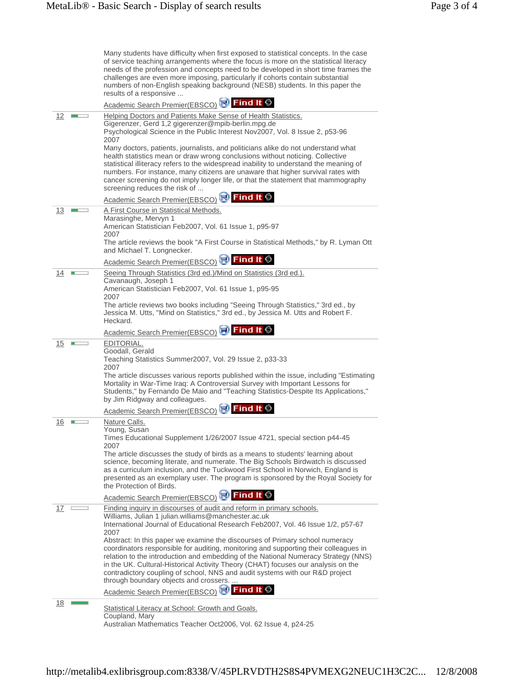|            | Many students have difficulty when first exposed to statistical concepts. In the case<br>of service teaching arrangements where the focus is more on the statistical literacy<br>needs of the profession and concepts need to be developed in short time frames the<br>challenges are even more imposing, particularly if cohorts contain substantial<br>numbers of non-English speaking background (NESB) students. In this paper the<br>results of a responsive                                                                                                                                                                                                                     |
|------------|---------------------------------------------------------------------------------------------------------------------------------------------------------------------------------------------------------------------------------------------------------------------------------------------------------------------------------------------------------------------------------------------------------------------------------------------------------------------------------------------------------------------------------------------------------------------------------------------------------------------------------------------------------------------------------------|
|            | Academic Search Premier(EBSCO) <b>N</b> Find It S                                                                                                                                                                                                                                                                                                                                                                                                                                                                                                                                                                                                                                     |
| 12         | Helping Doctors and Patients Make Sense of Health Statistics.<br>Gigerenzer, Gerd 1,2 gigerenzer@mpib-berlin.mpg.de<br>Psychological Science in the Public Interest Nov2007, Vol. 8 Issue 2, p53-96<br>2007<br>Many doctors, patients, journalists, and politicians alike do not understand what<br>health statistics mean or draw wrong conclusions without noticing. Collective<br>statistical illiteracy refers to the widespread inability to understand the meaning of<br>numbers. For instance, many citizens are unaware that higher survival rates with<br>cancer screening do not imply longer life, or that the statement that mammography<br>screening reduces the risk of |
|            | Academic Search Premier(EBSCO) N Find It S                                                                                                                                                                                                                                                                                                                                                                                                                                                                                                                                                                                                                                            |
| <u>13</u>  | A First Course in Statistical Methods.<br>Marasinghe, Mervyn 1<br>American Statistician Feb2007, Vol. 61 Issue 1, p95-97<br>2007<br>The article reviews the book "A First Course in Statistical Methods," by R. Lyman Ott<br>and Michael T. Longnecker.                                                                                                                                                                                                                                                                                                                                                                                                                               |
|            | Academic Search Premier(EBSCO) N Find It S                                                                                                                                                                                                                                                                                                                                                                                                                                                                                                                                                                                                                                            |
| 14         | Seeing Through Statistics (3rd ed.)/Mind on Statistics (3rd ed.).                                                                                                                                                                                                                                                                                                                                                                                                                                                                                                                                                                                                                     |
|            | Cavanaugh, Joseph 1<br>American Statistician Feb2007, Vol. 61 Issue 1, p95-95<br>2007                                                                                                                                                                                                                                                                                                                                                                                                                                                                                                                                                                                                 |
|            | The article reviews two books including "Seeing Through Statistics," 3rd ed., by<br>Jessica M. Utts, "Mind on Statistics," 3rd ed., by Jessica M. Utts and Robert F.<br>Heckard.                                                                                                                                                                                                                                                                                                                                                                                                                                                                                                      |
|            | Academic Search Premier(EBSCO) N Find It S                                                                                                                                                                                                                                                                                                                                                                                                                                                                                                                                                                                                                                            |
| 15         | EDITORIAL.<br>Goodall, Gerald<br>Teaching Statistics Summer2007, Vol. 29 Issue 2, p33-33<br>2007<br>The article discusses various reports published within the issue, including "Estimating<br>Mortality in War-Time Iraq: A Controversial Survey with Important Lessons for<br>Students," by Fernando De Maio and "Teaching Statistics-Despite Its Applications,"<br>by Jim Ridgway and colleagues.                                                                                                                                                                                                                                                                                  |
|            | Academic Search Premier(EBSCO) SO Find It                                                                                                                                                                                                                                                                                                                                                                                                                                                                                                                                                                                                                                             |
| <u> 16</u> | Nature Calls.<br>Young, Susan<br>Times Educational Supplement 1/26/2007 Issue 4721, special section p44-45<br>2007<br>The article discusses the study of birds as a means to students' learning about<br>science, becoming literate, and numerate. The Big Schools Birdwatch is discussed<br>as a curriculum inclusion, and the Tuckwood First School in Norwich, England is<br>presented as an exemplary user. The program is sponsored by the Royal Society for<br>the Protection of Birds.                                                                                                                                                                                         |
|            | Academic Search Premier(EBSCO) N Find It S                                                                                                                                                                                                                                                                                                                                                                                                                                                                                                                                                                                                                                            |
| 17         | Finding inquiry in discourses of audit and reform in primary schools.<br>Williams, Julian 1 julian.williams@manchester.ac.uk<br>International Journal of Educational Research Feb2007, Vol. 46 Issue 1/2, p57-67<br>2007                                                                                                                                                                                                                                                                                                                                                                                                                                                              |
|            | Abstract: In this paper we examine the discourses of Primary school numeracy<br>coordinators responsible for auditing, monitoring and supporting their colleagues in<br>relation to the introduction and embedding of the National Numeracy Strategy (NNS)<br>in the UK. Cultural-Historical Activity Theory (CHAT) focuses our analysis on the<br>contradictory coupling of school, NNS and audit systems with our R&D project<br>through boundary objects and crossers.                                                                                                                                                                                                             |
|            | Academic Search Premier(EBSCO) Report of Lt S                                                                                                                                                                                                                                                                                                                                                                                                                                                                                                                                                                                                                                         |
| <u> 18</u> | Statistical Literacy at School: Growth and Goals.                                                                                                                                                                                                                                                                                                                                                                                                                                                                                                                                                                                                                                     |
|            | Coupland, Mary<br>Australian Mathematics Teacher Oct2006, Vol. 62 Issue 4, p24-25                                                                                                                                                                                                                                                                                                                                                                                                                                                                                                                                                                                                     |